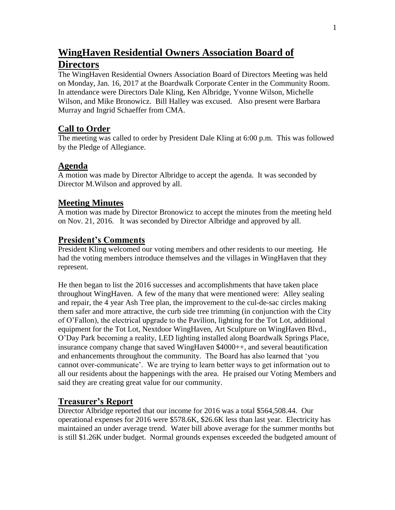# **WingHaven Residential Owners Association Board of Directors**

The WingHaven Residential Owners Association Board of Directors Meeting was held on Monday, Jan. 16, 2017 at the Boardwalk Corporate Center in the Community Room. In attendance were Directors Dale Kling, Ken Albridge, Yvonne Wilson, Michelle Wilson, and Mike Bronowicz. Bill Halley was excused. Also present were Barbara Murray and Ingrid Schaeffer from CMA.

#### **Call to Order**

The meeting was called to order by President Dale Kling at 6:00 p.m. This was followed by the Pledge of Allegiance.

### **Agenda**

A motion was made by Director Albridge to accept the agenda. It was seconded by Director M.Wilson and approved by all.

### **Meeting Minutes**

A motion was made by Director Bronowicz to accept the minutes from the meeting held on Nov. 21, 2016. It was seconded by Director Albridge and approved by all.

### **President's Comments**

President Kling welcomed our voting members and other residents to our meeting. He had the voting members introduce themselves and the villages in WingHaven that they represent.

He then began to list the 2016 successes and accomplishments that have taken place throughout WingHaven. A few of the many that were mentioned were: Alley sealing and repair, the 4 year Ash Tree plan, the improvement to the cul-de-sac circles making them safer and more attractive, the curb side tree trimming (in conjunction with the City of O'Fallon), the electrical upgrade to the Pavilion, lighting for the Tot Lot, additional equipment for the Tot Lot, Nextdoor WingHaven, Art Sculpture on WingHaven Blvd., O'Day Park becoming a reality, LED lighting installed along Boardwalk Springs Place, insurance company change that saved WingHaven \$4000++, and several beautification and enhancements throughout the community. The Board has also learned that 'you cannot over-communicate'. We are trying to learn better ways to get information out to all our residents about the happenings with the area. He praised our Voting Members and said they are creating great value for our community.

## **Treasurer's Report**

Director Albridge reported that our income for 2016 was a total \$564,508.44. Our operational expenses for 2016 were \$578.6K, \$26.6K less than last year. Electricity has maintained an under average trend. Water bill above average for the summer months but is still \$1.26K under budget. Normal grounds expenses exceeded the budgeted amount of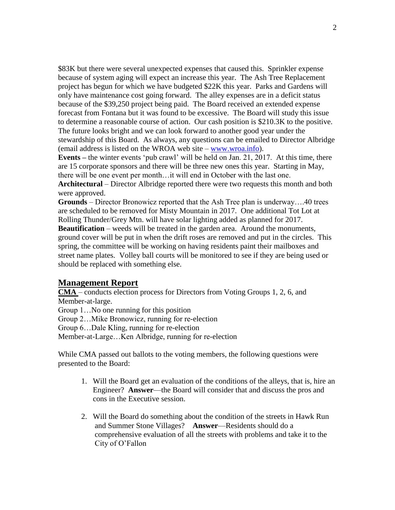\$83K but there were several unexpected expenses that caused this. Sprinkler expense because of system aging will expect an increase this year. The Ash Tree Replacement project has begun for which we have budgeted \$22K this year. Parks and Gardens will only have maintenance cost going forward. The alley expenses are in a deficit status because of the \$39,250 project being paid. The Board received an extended expense forecast from Fontana but it was found to be excessive. The Board will study this issue to determine a reasonable course of action. Our cash position is \$210.3K to the positive. The future looks bright and we can look forward to another good year under the stewardship of this Board. As always, any questions can be emailed to Director Albridge (email address is listed on the WROA web site – [www.wroa.info\)](http://www.wroa.info/).

**Events –** the winter events 'pub crawl' will be held on Jan. 21, 2017. At this time, there are 15 corporate sponsors and there will be three new ones this year. Starting in May, there will be one event per month…it will end in October with the last one.

**Architectural** – Director Albridge reported there were two requests this month and both were approved.

**Grounds** – Director Bronowicz reported that the Ash Tree plan is underway….40 trees are scheduled to be removed for Misty Mountain in 2017. One additional Tot Lot at Rolling Thunder/Grey Mtn. will have solar lighting added as planned for 2017.

**Beautification** – weeds will be treated in the garden area. Around the monuments, ground cover will be put in when the drift roses are removed and put in the circles. This spring, the committee will be working on having residents paint their mailboxes and street name plates. Volley ball courts will be monitored to see if they are being used or should be replaced with something else.

#### **Management Report**

**CMA** – conducts election process for Directors from Voting Groups 1, 2, 6, and Member-at-large.

Group 1…No one running for this position

Group 2…Mike Bronowicz, running for re-election

Group 6…Dale Kling, running for re-election

Member-at-Large…Ken Albridge, running for re-election

While CMA passed out ballots to the voting members, the following questions were presented to the Board:

- 1. Will the Board get an evaluation of the conditions of the alleys, that is, hire an Engineer? **Answer**—the Board will consider that and discuss the pros and cons in the Executive session.
- 2. Will the Board do something about the condition of the streets in Hawk Run and Summer Stone Villages? **Answer**—Residents should do a comprehensive evaluation of all the streets with problems and take it to the City of O'Fallon